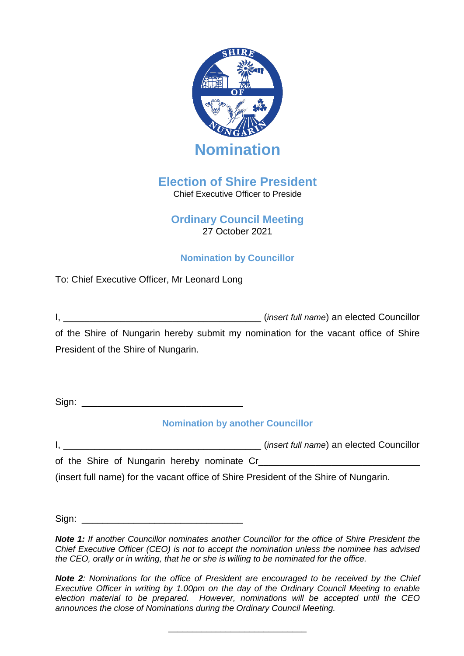

# **Election of Shire President**  Chief Executive Officer to Preside

# **Ordinary Council Meeting** 27 October 2021

# **Nomination by Councillor**

To: Chief Executive Officer, Mr Leonard Long

|                                                                                     | <i>(insert full name)</i> an elected Councillor |
|-------------------------------------------------------------------------------------|-------------------------------------------------|
| of the Shire of Nungarin hereby submit my nomination for the vacant office of Shire |                                                 |
| President of the Shire of Nungarin.                                                 |                                                 |

 $Sian:$ 

# **Nomination by another Councillor**

|  | ( <i>insert full name</i> ) an elected Councillor |  |
|--|---------------------------------------------------|--|
|  |                                                   |  |

of the Shire of Nungarin hereby nominate Cr\_\_\_\_\_\_\_\_\_\_\_\_\_\_\_\_\_\_\_\_\_\_\_\_\_\_\_\_\_\_\_

(insert full name) for the vacant office of Shire President of the Shire of Nungarin.

 $Sign:$ 

*Note 1: If another Councillor nominates another Councillor for the office of Shire President the Chief Executive Officer (CEO) is not to accept the nomination unless the nominee has advised the CEO, orally or in writing, that he or she is willing to be nominated for the office.*

*Note 2: Nominations for the office of President are encouraged to be received by the Chief Executive Officer in writing by 1.00pm on the day of the Ordinary Council Meeting to enable election material to be prepared. However, nominations will be accepted until the CEO announces the close of Nominations during the Ordinary Council Meeting.* 

\_\_\_\_\_\_\_\_\_\_\_\_\_\_\_\_\_\_\_\_\_\_\_\_\_\_\_\_\_